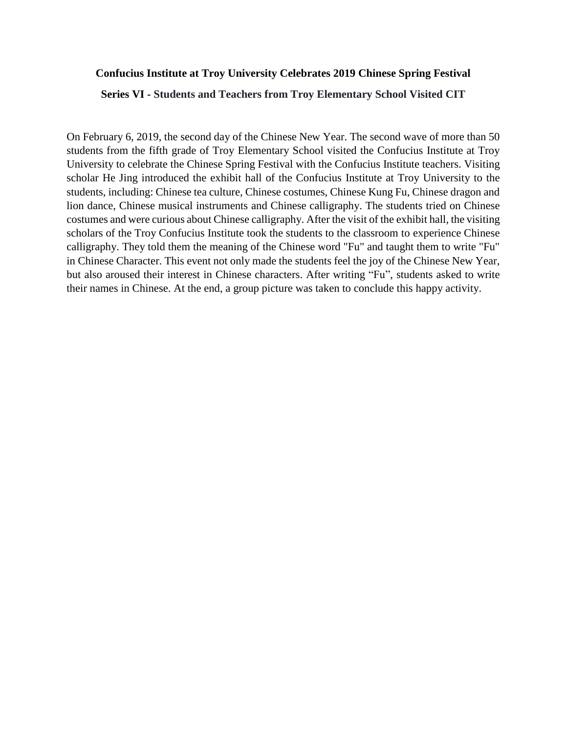## **Confucius Institute at Troy University Celebrates 2019 Chinese Spring Festival**

## **Series VI - Students and Teachers from Troy Elementary School Visited CIT**

On February 6, 2019, the second day of the Chinese New Year. The second wave of more than 50 students from the fifth grade of Troy Elementary School visited the Confucius Institute at Troy University to celebrate the Chinese Spring Festival with the Confucius Institute teachers. Visiting scholar He Jing introduced the exhibit hall of the Confucius Institute at Troy University to the students, including: Chinese tea culture, Chinese costumes, Chinese Kung Fu, Chinese dragon and lion dance, Chinese musical instruments and Chinese calligraphy. The students tried on Chinese costumes and were curious about Chinese calligraphy. After the visit of the exhibit hall, the visiting scholars of the Troy Confucius Institute took the students to the classroom to experience Chinese calligraphy. They told them the meaning of the Chinese word "Fu" and taught them to write "Fu" in Chinese Character. This event not only made the students feel the joy of the Chinese New Year, but also aroused their interest in Chinese characters. After writing "Fu", students asked to write their names in Chinese. At the end, a group picture was taken to conclude this happy activity.